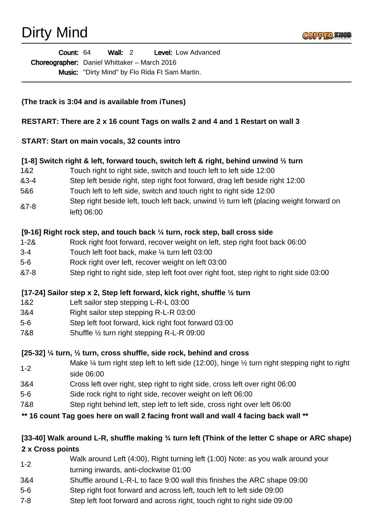Dirty Mind



Wall: 2 Level: Low Advanced Choreographer: Daniel Whittaker - March 2016 Music: "Dirty Mind" by Flo Rida Ft Sam Martin. Count: 64

### **(The track is 3:04 and is available from iTunes)**

#### **RESTART: There are 2 x 16 count Tags on walls 2 and 4 and 1 Restart on wall 3**

#### **START: Start on main vocals, 32 counts intro**

### **[1-8] Switch right & left, forward touch, switch left & right, behind unwind ½ turn**

- 1&2 Touch right to right side, switch and touch left to left side 12:00
- &3-4 Step left beside right, step right foot forward, drag left beside right 12:00
- 5&6 Touch left to left side, switch and touch right to right side 12:00
- &7-8 Step right beside left, touch left back, unwind ½ turn left (placing weight forward on left) 06:00

### **[9-16] Right rock step, and touch back ¼ turn, rock step, ball cross side**

- 1-2& Rock right foot forward, recover weight on left, step right foot back 06:00
- 3-4 Touch left foot back, make ¼ turn left 03:00
- 5-6 Rock right over left, recover weight on left 03:00
- &7-8 Step right to right side, step left foot over right foot, step right to right side 03:00

#### **[17-24] Sailor step x 2, Step left forward, kick right, shuffle ½ turn**

- 1&2 Left sailor step stepping L-R-L 03:00
- 3&4 Right sailor step stepping R-L-R 03:00
- 5-6 Step left foot forward, kick right foot forward 03:00
- 7&8 Shuffle ½ turn right stepping R-L-R 09:00

### **[25-32] ¼ turn, ½ turn, cross shuffle, side rock, behind and cross**

- 1-2 Make  $\frac{1}{4}$  turn right step left to left side (12:00), hinge  $\frac{1}{2}$  turn right stepping right to right side 06:00
- 3&4 Cross left over right, step right to right side, cross left over right 06:00
- 5-6 Side rock right to right side, recover weight on left 06:00
- 7&8 Step right behind left, step left to left side, cross right over left 06:00

### **\*\* 16 count Tag goes here on wall 2 facing front wall and wall 4 facing back wall \*\***

## **[33-40] Walk around L-R, shuffle making ¾ turn left (Think of the letter C shape or ARC shape) 2 x Cross points**

- 1-2 Walk around Left (4:00), Right turning left (1:00) Note: as you walk around your turning inwards, anti-clockwise 01:00
- 3&4 Shuffle around L-R-L to face 9:00 wall this finishes the ARC shape 09:00
- 5-6 Step right foot forward and across left, touch left to left side 09:00
- 7-8 Step left foot forward and across right, touch right to right side 09:00